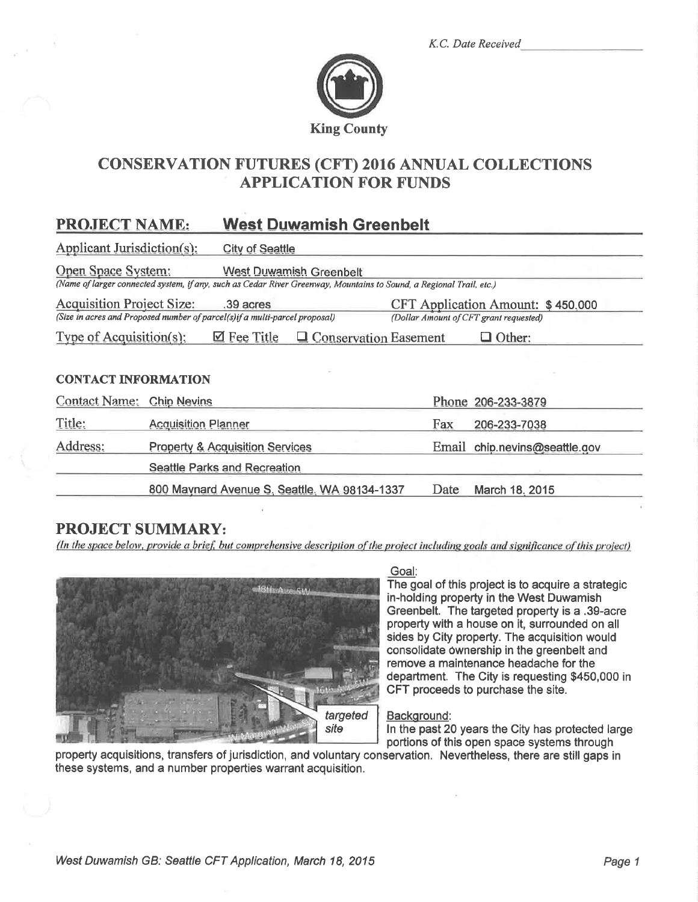K.C. Date Received



# **CONSERVATION FUTURES (CFT) 2016 ANNUAL COLLECTIONS APPLICATION FOR FUNDS**

#### **West Duwamish Greenbelt PROJECT NAME:**

| Applicant Jurisdiction(s):<br><b>City of Seattle</b>                                                                        |                                                                                    |  |  |  |  |
|-----------------------------------------------------------------------------------------------------------------------------|------------------------------------------------------------------------------------|--|--|--|--|
| Open Space System:<br><b>West Duwamish Greenbelt</b>                                                                        |                                                                                    |  |  |  |  |
| (Name of larger connected system, if any, such as Cedar River Greenway, Mountains to Sound, a Regional Trail, etc.)         |                                                                                    |  |  |  |  |
| <b>Acquisition Project Size:</b><br>.39 acres<br>(Size in acres and Proposed number of parcel(s)if a multi-parcel proposal) | <b>CFT Application Amount: \$450,000</b><br>(Dollar Amount of CFT grant requested) |  |  |  |  |
| Type of Acquisition(s):<br>$\boxtimes$ Fee Title<br>$\Box$ Conservation Easement<br>Other:                                  |                                                                                    |  |  |  |  |
|                                                                                                                             |                                                                                    |  |  |  |  |
| <b>CONTACT INFORMATION</b>                                                                                                  |                                                                                    |  |  |  |  |
| <b>Contact Name:</b><br><b>Chip Nevins</b>                                                                                  | Phone 206-233-3879                                                                 |  |  |  |  |
| Title:<br><b>Acquisition Planner</b>                                                                                        | Fax<br>206-233-7038                                                                |  |  |  |  |
| Address:<br><b>Property &amp; Acquisition Services</b>                                                                      | chip.nevins@seattle.gov<br>Email                                                   |  |  |  |  |
| <b>Seattle Parks and Recreation</b>                                                                                         |                                                                                    |  |  |  |  |

800 Maynard Avenue S, Seattle, WA 98134-1337 Date March 18, 2015

# **PROJECT SUMMARY:**

(In the space below, provide a brief, but comprehensive description of the project including goals and significance of this project)



Goal:

The goal of this project is to acquire a strategic in-holding property in the West Duwamish Greenbelt. The targeted property is a .39-acre property with a house on it, surrounded on all sides by City property. The acquisition would consolidate ownership in the greenbelt and remove a maintenance headache for the department. The City is requesting \$450,000 in CFT proceeds to purchase the site.

#### Background:

In the past 20 years the City has protected large portions of this open space systems through

property acquisitions, transfers of jurisdiction, and voluntary conservation. Nevertheless, there are still gaps in these systems, and a number properties warrant acquisition.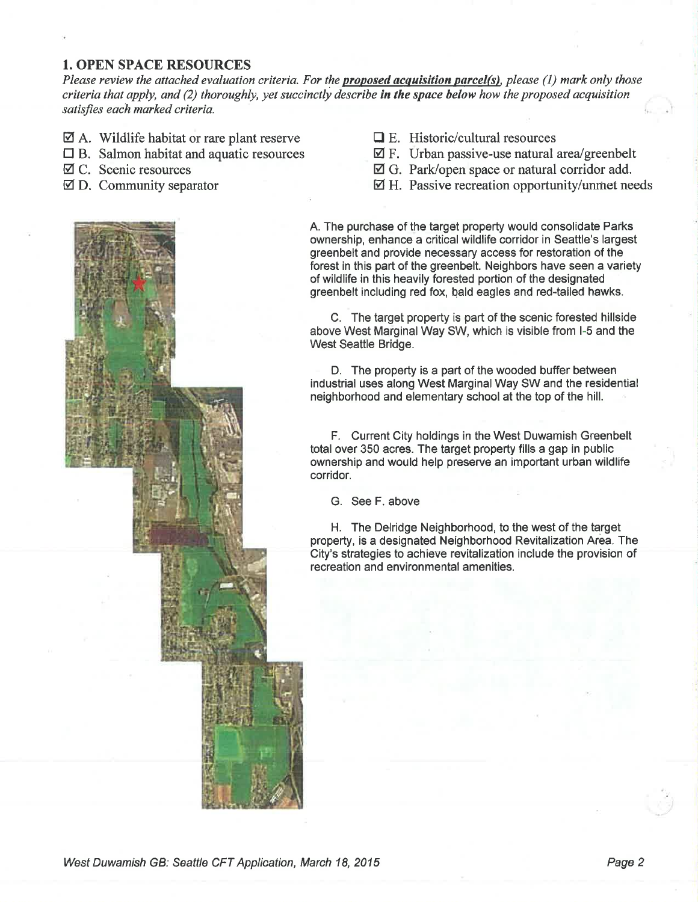## 1. OPEN SPACE RESOURCES

Please review the attached evaluation criteria. For the **proposed acquisition parcel(s)**, please (1) mark only those criteria that apply, and (2) thoroughly, yet succinctly describe in the space below how the proposed acquisition satisfies each marked criteria.

- $\boxtimes$  A. Wildlife habitat or rare plant reserve
- $\Box$  B. Salmon habitat and aquatic resources
- Ø C. Scenic resources
- Ø D. Community separator



- $\boxtimes$  F. Urban passive-use natural area/greenbelt
- Ø G. Park/open space or natural corridor add.
- $\boxtimes$  H. Passive recreation opportunity/unmet needs

A. The purchase of the target property would consolidate Parks ownership, enhance a critical wildlife corridor in Seattle's largest greenbelt and provide necessary access for restoration of the forest in this part of the greenbelt. Neighbors have seen a variety of wildlife in this heavily forested portion of the designated greenbelt including red fox, bald eagles and red-tailed hawks.

C. The target property is part of the scenic forested hillside above West Marginal Way SW, which is visible from I-5 and the West Seattle Bridge.

D. The property is a part of the wooded buffer between industrial uses along West Marginal Way SW and the residential neighborhood and elementary school at the top of the hill.

F. Current Gity holdings in the West Duwamish Greenbelt total over 350 acres. The target property fills a gap in public ownership and would help preserve an important urban wildlife corridor.

G. See F. above

H. The Delridge Neighborhood, to the west of the target property, is a designated Neighborhood Revitalization Area. The City's strategies to achieve revitalization include the provision of recreation and environmental amenities.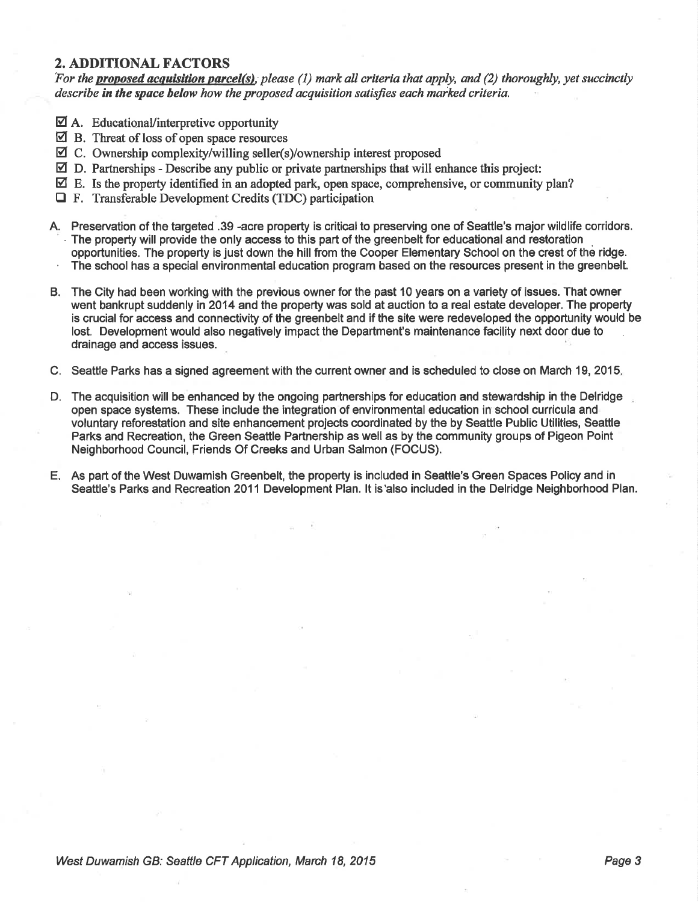# 2. ADDITIONAL FACTORS

For the proposed acquisition parcel(s), please (1) mark all criteria that apply, and (2) thoroughly, yet succinctly describe in the space below how the proposed acquisition satisfies each marked criteria.

- $\overline{\mathbf{2}}$  A. Educational/interpretive opportunity
- $\boxtimes$  B. Threat of loss of open space resources
- ⊠ C. Ownership complexity/willing seller(s)/ownership interest proposed
- $\boxtimes$  D. Partnerships Describe any public or private partnerships that will enhance this project:
- $\boxtimes$  E. Is the property identified in an adopted park, open space, comprehensive, or community plan?
- $\Box$  F. Transferable Development Credits (TDC) participation
- A. Preservation of the targeted .39 -acre property is critical to preserving one of Seattle's major wildlife corridors. The property will provide the only access to this part of the greenbelt for educational and restoration<br>opportunities. The property is just down the hill from the Cooper Elementary School on the crest of the ridge. The school has a special environmental education program based on the resources present in the greenbelt.
- B. The City had been working with the previous owner for the past 10 years on a variety of issues. That owner went bankrupt suddenly in 2014 and the property was sold at auction to a real estate developer. The property is crucial for access and connectivity of the greenbelt and if the site were redeveloped the opportunity would be lost. Development would also negatively impact the Department's maintenance facility next door due to drainage and access issues.
- C. Seattle Parks has a signed agreement with the current owner and is scheduled to close on March 19,2015
- D. The acquisition will be enhanced by the ongoing partnerships for education and stewardship in the Delridge open space systems. These include the integration of environmental education in school curricula and voluntary reforestation and site enhancement projects coordinated by the by Seattle Public Utilities, Seattle Parks and Recreation, the Green Seattle Partnership as well as by the community groups of Pigeon Point Neighborhood Council, Friends Of Creeks and Urban Salmon (FOCUS).
- E. As part of the West Duwamish Greenbelt, the property is included in Seattle's Green Spaces Policy and in Seattle's Parks and Recreation 2011 Development Plan. lt is'also included in the Delridge Neighborhood Plan.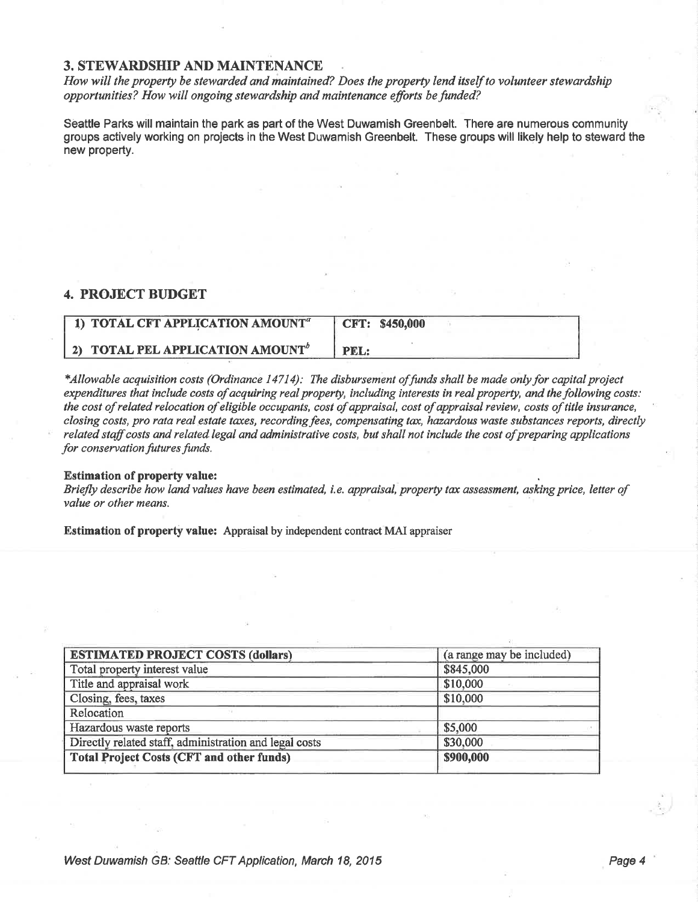### **3. STEWARDSHIP AND MAINTENANCE**

How will the property be stewarded and maintained? Does the property lend itself to volunteer stewardship opportunities? How will ongoing stewardship and maintenance efforts be funded?

Seattle Parks will maintain the park as part of the West Duwamish Greenbelt. There are numerous community groups actively working on projects in the West Duwamish Greenbelt. These groups will likely help to steward the new property.

## **4. PROJECT BUDGET**

| 1) TOTAL CFT APPLICATION AMOUNT <sup>a</sup> | CFT: \$450,000 |
|----------------------------------------------|----------------|
| 2) TOTAL PEL APPLICATION AMOUNT <sup>b</sup> | PEL:           |

\*Allowable acquisition costs (Ordinance 14714): The disbursement of funds shall be made only for capital project expenditures that include costs of acquiring real property, including interests in real property, and the following costs: the cost of related relocation of eligible occupants, cost of appraisal, cost of appraisal review, costs of title insurance, closing costs, pro rata real estate taxes, recording fees, compensating tax, hazardous waste substances reports, directly related staff costs and related legal and administrative costs, but shall not include the cost of preparing applications for conservation futures funds.

#### **Estimation of property value:**

Briefly describe how land values have been estimated, i.e. appraisal, property tax assessment, asking price, letter of value or other means.

**Estimation of property value:** Appraisal by independent contract MAI appraiser

| <b>ESTIMATED PROJECT COSTS (dollars)</b>               | (a range may be included) |
|--------------------------------------------------------|---------------------------|
| Total property interest value                          | \$845,000                 |
| Title and appraisal work                               | \$10,000                  |
| Closing, fees, taxes                                   | \$10,000                  |
| Relocation                                             |                           |
| Hazardous waste reports                                | \$5,000                   |
| Directly related staff, administration and legal costs | \$30,000                  |
| <b>Total Project Costs (CFT and other funds)</b>       | \$900,000                 |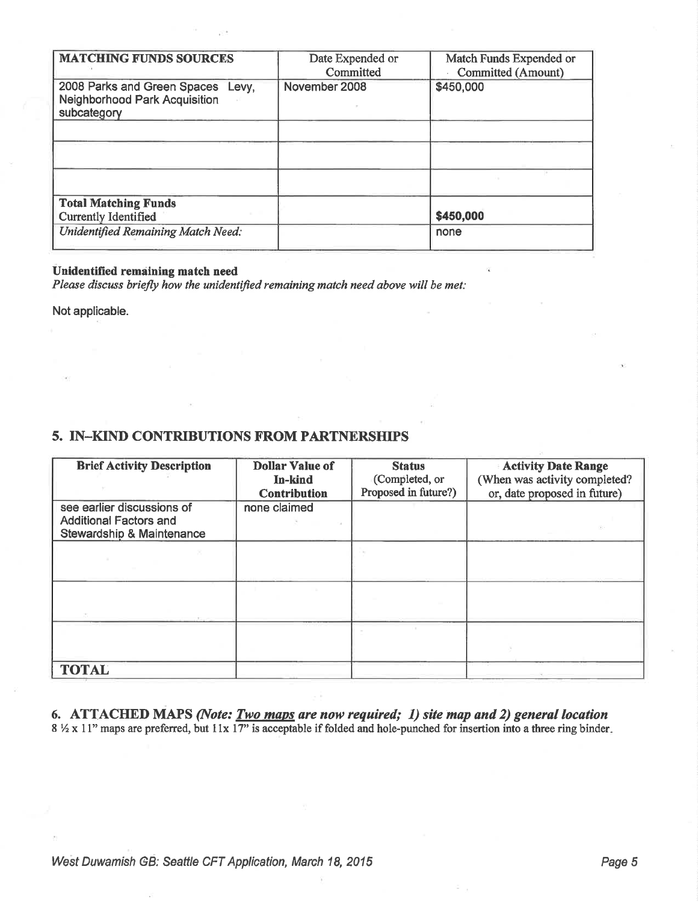| <b>MATCHING FUNDS SOURCES</b>                                                            | Date Expended or | Match Funds Expended or |
|------------------------------------------------------------------------------------------|------------------|-------------------------|
|                                                                                          | Committed        | Committed (Amount)      |
| 2008 Parks and Green Spaces Levy,<br><b>Neighborhood Park Acquisition</b><br>subcategory | November 2008    | \$450,000               |
|                                                                                          |                  |                         |
|                                                                                          |                  |                         |
|                                                                                          |                  |                         |
| <b>Total Matching Funds</b>                                                              |                  |                         |
| <b>Currently Identified</b>                                                              |                  | \$450,000               |
| <b>Unidentified Remaining Match Need:</b>                                                |                  | none                    |
|                                                                                          |                  |                         |

### Unidentified remaining match need

Please discuss briefly how the unidentified remaining match need above will be met:

Not applicable.

# 5. IN-KIND CONTRIBUTIONS FROM PARTNERSHIPS

| <b>Brief Activity Description</b>                                                                   | <b>Dollar Value of</b><br>In-kind<br><b>Contribution</b> | <b>Status</b><br>(Completed, or<br>Proposed in future?) | <b>Activity Date Range</b><br>(When was activity completed?<br>or, date proposed in future) |
|-----------------------------------------------------------------------------------------------------|----------------------------------------------------------|---------------------------------------------------------|---------------------------------------------------------------------------------------------|
| see earlier discussions of<br><b>Additional Factors and</b><br><b>Stewardship &amp; Maintenance</b> | none claimed                                             |                                                         |                                                                                             |
|                                                                                                     |                                                          |                                                         |                                                                                             |
|                                                                                                     |                                                          |                                                         |                                                                                             |
|                                                                                                     |                                                          |                                                         |                                                                                             |
| <b>TOTAL</b>                                                                                        |                                                          |                                                         |                                                                                             |

6. ATTACHED MAPS (Note: Two maps are now required; 1) site map and 2) general location  $8\frac{1}{2} \times 11$ " maps are preferred, but  $11 \times 17$ " is acceptable if folded and hole-punched for insertion into a three ring binder.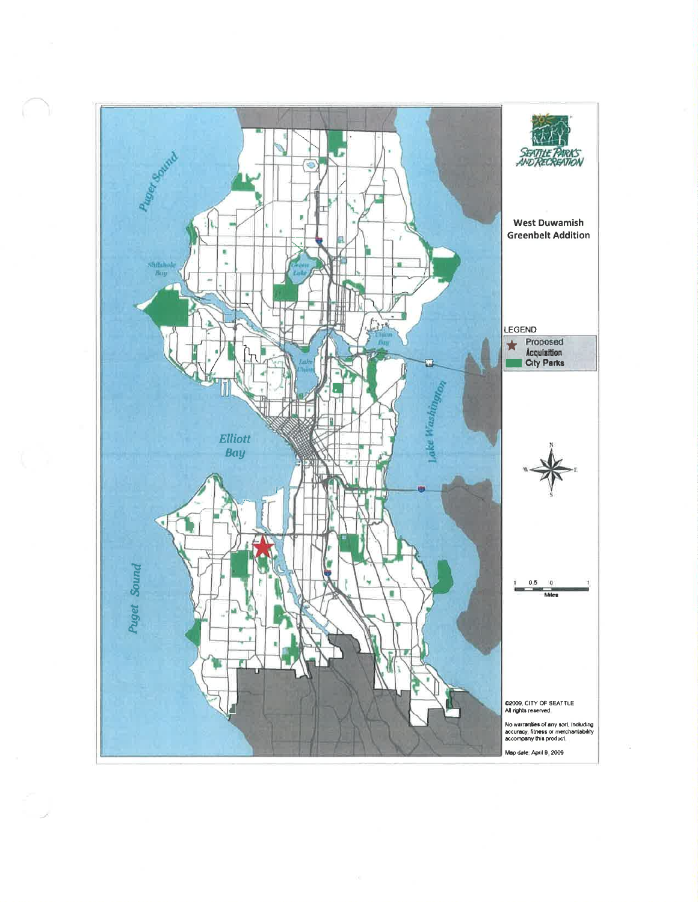

 $\zeta$  (ii)